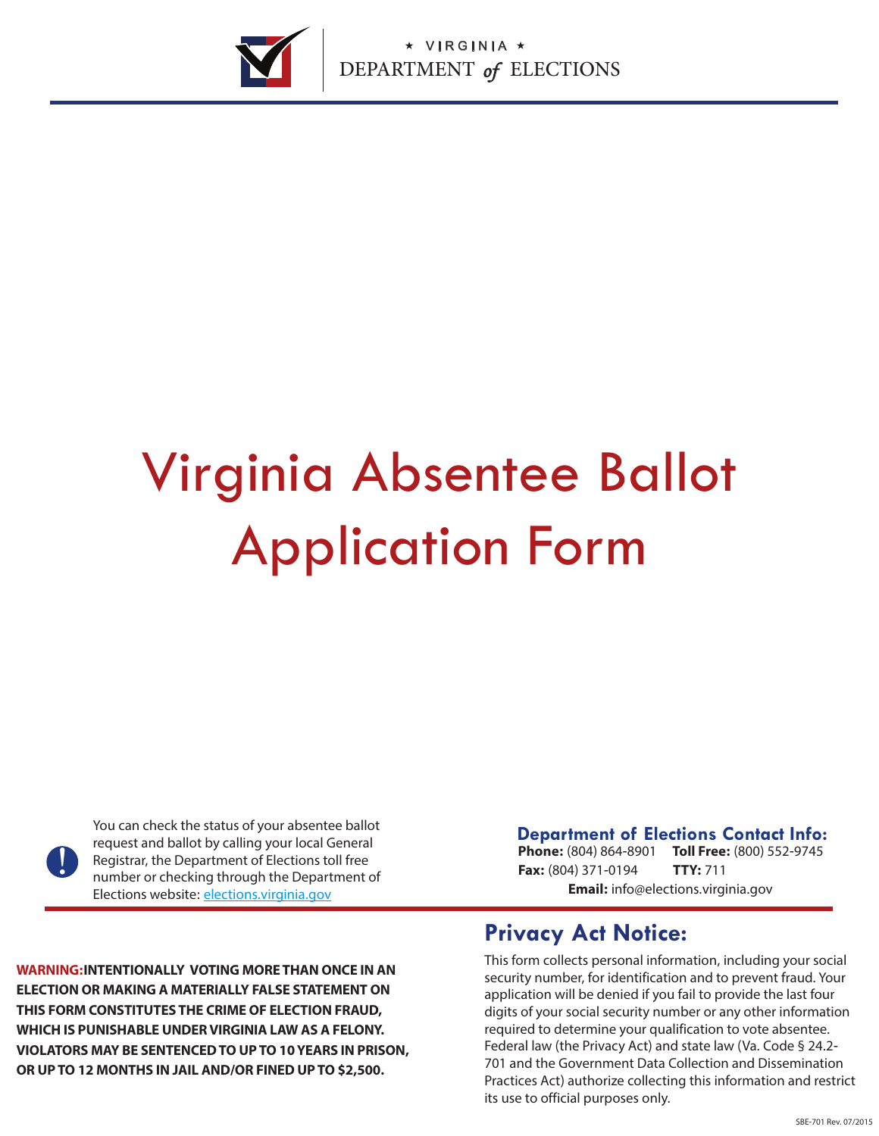

# Virginia Absentee Ballot Application Form

<u>|</u>

You can check the status of your absentee ballot request and ballot by calling your local General Registrar, the Department of Elections toll free number or checking through the Department of Elections website: elections.virginia.gov

**Phone:** (804) 864-8901 **Toll Free:** (800) 552-9745 **Fax:** (804) 371-0194 **Email:** info@elections.virginia.gov **TTY:** 711

**WARNING:INTENTIONALLY VOTING MORE THAN ONCE IN AN ELECTION OR MAKING A MATERIALLY FALSE STATEMENT ON THIS FORM CONSTITUTES THE CRIME OF ELECTION FRAUD, WHICH IS PUNISHABLE UNDER VIRGINIA LAW AS A FELONY. VIOLATORS MAY BE SENTENCED TO UP TO 10 YEARS IN PRISON, OR UP TO 12 MONTHS IN JAIL AND/OR FINED UP TO \$2,500.** 

#### **Privacy Act Notice:**

This form collects personal information, including your social security number, for identification and to prevent fraud. Your application will be denied if you fail to provide the last four digits of your social security number or any other information required to determine your qualification to vote absentee. Federal law (the Privacy Act) and state law (Va. Code § 24.2- 701 and the Government Data Collection and Dissemination Practices Act) authorize collecting this information and restrict its use to official purposes only.

**Department of Elections Contact Info:**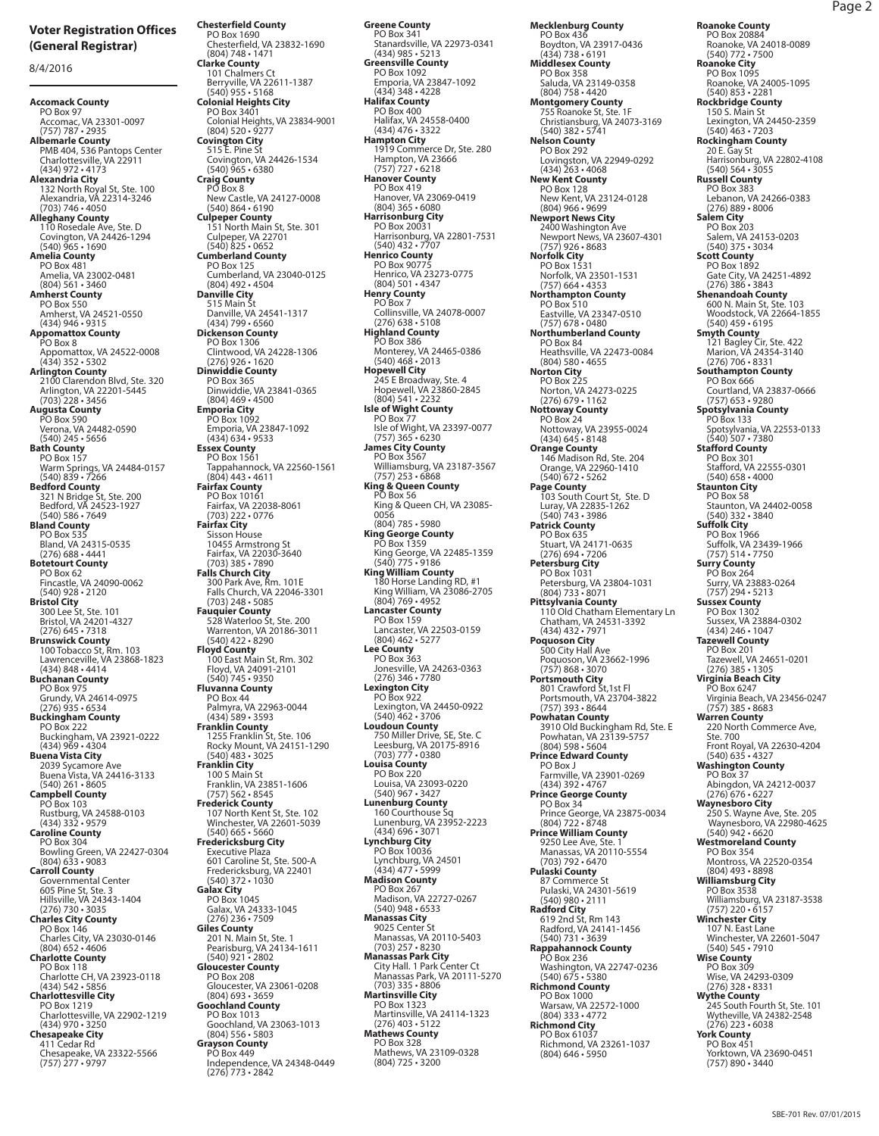8/4/2016

**Accomack County**<br>
PO Box 97<br>
Accomac, VA 23301-0097<br>
(757) 787 • 2935<br> **Albemarle County**<br>
PMB 404, 536 Pantops Center<br>
Charlottesville, VA 22911 (434) 972 • 4173 **Alexandria City** 132 North Royal St, Ste. 100 Alexandria, VA 22314-3246 (703) 746 • 4050 **Alleghany County**<br>
110 Rosedale Ave, Ste. D<br>
Covington, VA 24426-1294<br>
(540) 965 • 1690<br> **Amelia County**<br>
PO Box 481 Amelia, VA 23002-0481 (804) 561 • 3460 **Amherst County** PO Box 550 Amherst, VA 24521-0550 (434) 946 • 9315 **Appomattox County** PO Box 8 Appomattox, VA 24522-0008 (434) 352 • 5302 **Arlington County** 2100 Clarendon Blvd, Ste. 320 Arlington, VA 22201-5445 (703) 228 • 3456 **Augusta County**  PO Box 590 Verona, VA 24482-0590 (540) 245 • 5656 **Bath County** PO Box 157 Warm Springs, VA 24484-0157 (540) 839 • 7266 **Bedford County**<br>321 N Bridge St, Ste. 200<br>Bedford, VA 24523-1927<br>(540) 586 • 7649 **Bland County** PO Box 535 Bland, VA 24315-0535 (276) 688 • 4441 **Botetourt County** PO Box 62 Fincastle, VA 24090-0062 (540) 928 • 2120 **Bristol City** 300 Lee St, Ste. 101 Bristol, VA 24201-4327 (276) 645 • 7318 **Brunswick County**  100 Tobacco St, Rm. 103 Lawrenceville, VA 23868-1823 (434) 848 • 4414 **Buchanan County** PO Box 975 Grundy, VA 24614-0975 (276) 935 • 6534 **Buckingham County** PO Box 222 Buckingham, VA 23921-0222 (434) 969 • 4304 **Buena Vista City** 2039 Sycamore Ave Buena Vista, VA 24416-3133 (540) 261 • 8605 **Campbell County** PO Box 103 Rustburg, VA 24588-0103 (434) 332 • 9579 **Caroline County** PO Box 304 PO BOX 304<br>Bowling Green, VA 22427-0304<br>(804) 633 • 9083 (804) 633 - 9083<br> **Carroll County**<br>
Governmental Center<br>
605 Pine St, Ste. 3<br>
Hillswille, VA 24343-1404<br>
276) 730 - 3035<br> **Charles City County**<br>
PO Box 146<br>
PO Box 118<br>
PO Box 118 Charlotte CH, VA 23923-0118 (434) 542 • 5856 **Charlottesville City** PO Box 1219 Charlottesville, VA 22902-1219 (434) 970 • 3250 **Chesapeake City** 411 Cedar Rd Chesapeake, VA 23322-5566 (757) 277 • 9797

**Chesterfield County** PO Box 1690 Chesterfield, VA 23832-1690 (804) 748 • 1471 **Clarke County** 101 Chalmers Ct Berryville, VA 22611-1387 (540) 955 • 5168 **Colonial Heights City** PO Box 3401 Colonial Heights, VA 23834-9001 (804) 520 • 9277 **Covington City** 515 E. Pine St Covington, VA 24426-1534 (540) 965 • 6380 **Craig County** PO Box 8 New Castle, VA 24127-0008<br>
(540) 864 • 6190<br> **Culpeper County**<br>
151 North Main St, Ste. 301<br>
Culpeper, VA 22701<br>
(540) 825 • 0652<br> **Cumberland County**<br>
PO Box 125 Cumberland, VA 23040-0125 (804) 492 • 4504 **Danville City** 515 Main St Danville, VA 24541-1317 (434) 799 • 6560 **Dickenson County** PO Box 1306 Clintwood, VA 24228-1306 (276) 926 • 1620 **Dinwiddie County** PO Box 365 Dinwiddie, VA 23841-0365 (804) 469 • 4500 **Emporia City** PO Box 1092 Emporia, VA 23847-1092 (434) 634 • 9533 **Essex County** PO Box 1561 Tappahannock, VA 22560-1561 (804) 443 • 4611 **Fairfax County<br>PO Box 10161<br>Fairfax, VA 22038-8061<br>(703) 222 • 0776 Fairfax City**<br>Sisson House Sisson House<br>10455 Armstrong St<br>Fairfax, VA 22030-3640<br>(703) 385 • 7890<br>**Falls Church City**<br>300 Park Ave, Rm. 101E<br>Falls Church, VA 22046-3301<br>(703) 248 • 5085 **Fauquier County** 528 Waterloo St, Ste. 200 Warrenton, VA 20186-3011 (540) 422 • 8290 **Floyd County** 100 East Main St, Rm. 302 Floyd, VA 24091-2101 (540) 745 • 9350 **Fluvanna County**<br>PO Box 44 PO Box 44 Palmyra, VA 22963-0044 (434) 589 • 3593 **Franklin County** 1255 Franklin St, Ste. 106 Rocky Mount, VA 24151-1290 (540) 483 • 3025 **Franklin City** 100 S Main St Franklin, VA 23851-1606 (757) 562 • 8545 **Frederick County** 107 North Kent St, Ste. 102 Winchester, VA 22601-5039 (540) 665 - 5660<br>
Fredericksburg City<br>
Executive Plaza<br>
601 Caroline St, Ste. 500-A<br>
Fredericksburg, VA 22401<br>
640) 372 - 1030<br>
Galax City<br>
PO Box 1045<br>
Galax, VA 24333-1045<br>
(276) 236 - 7509<br>
Giles County<br>
Giles County<br> Gloucester, VA 23061-0208<br>
(804) 693 • 3659<br> **Goochland County**<br>
PO Box 1013<br>
Goochland, VA 23063-1013<br>
(804) 556 • 5803 **Grayson County** PO Box 449

Independence, VA 24348-0449 (276) 773 • 2842

PO Box 341 Stanardsville, VA 22973-0341 (434) 985 • 5213 **Greensville County** PO Box 1092 Emporia, VA 23847-1092 (434) 348 • 4228 **Halifax County** PO Box 400 Halifax, VA 24558-0400<br>(434) 476 - 3322 (434) 476 • 3322 **Hampton City** 1919 Commerce Dr, Ste. 280 Hampton, VA 23666 (757) 727 • 6218 **Hanover County** PO Box 419 Hanover, VA 23069-0419 (804) 365 • 6080 **Harrisonburg City** PO Box 20031 Harrisonburg, VA 22801-7531 (540) 432 • 7707 **Henrico County** PO Box 90775 Henrico, VA 23273-0775 (804) 501 • 4347 **Henry County<br>PO Box 7<br>Collinsville, VA 24078-0007<br>(276) 638 • 5108 Highland County** PO Box 386 Monterey, VA 24465-0386 (540) 468 • 2013 **Hopewell City** 245 E Broadway, Ste. 4 Hopewell, VA 23860-2845 (804) 541 • 2232 **Isle of Wight County** PO Box 77 Isle of Wight, VA 23397-0077 (757) 365 • 6230 **James City County<br>
PO Box 3567<br>
Williamsburg, VA 23187-3567<br>
(757) 253 • 6868<br><b>King & Queen County**<br> **PO Box 56** King & Queen CH, VA 23085- 0056 (804) 785 • 5980 **King George County** PO Box 1359 King George, VA 22485-1359 (540) 775 • 9186 **King William County** 180 Horse Landing RD, #1 King William, VA 23086-2705 (804) 769 • 4952 **Lancaster County** PO Box 159 Lancaster, VA 22503-0159 (804) 462 • 5277 **Lee County** PO Box 363 Jonesville, VA 24263-0363 (276) 346 • 7780 **Lexington City** PO Box 922 Lexington, VA 24450-0922 (540) 462 • 3706 **Loudoun County** 750 Miller Drive, SE, Ste. C Leesburg, VA 20175-8916 (703) 777 • 0380 **Louisa County** PO Box 220<br>
Louisa, VA 23093-0220<br>
(540) 967 • 3427<br> **Lunenburg County**<br>
160 Courthouse Sq<br>
Lunenburg, VA 23952-2223<br>
(434) 696 • 3071 **Lynchburg City** PO Box 10036 Lynchburg, VA 24501 (434) 477 • 5999 **Madison County** PO Box 267 Madison, VA 22727-0267 (540) 948 • 6533 **Manassas City** 9025 Center St Manassas, VA 20110-5403<br>(703) 257 • 8230<br>**Manassas Park City**<br>City Hall. 1 Park Center Ct<br>Manassas Park, VA 20111-5270<br>Manassas Park, VA 20111-5270<br>(703) 335 • 8806 **Martinsville City** PO Box 1323 Martinsville, VA 24114-1323 (276) 403 • 5122 **Mathews County** PO Box 328 Mathews, VA 23109-0328 (804) 725 • 3200

**Greene County**

**Mecklenburg County** PO Box 436 Boydton, VA 23917-0436 (434) 738 • 6191 **Middlesex County** PO Box 358 Saluda, VA 23149-0358<br>(804) 758 • 4420 (804) 758 • 4420 **Montgomery County** 755 Roanoke St, Ste. 1F Christiansburg, VA 24073-3169 (540) 382 • 5741 **Nelson County** PO Box 292<br>
Lovingston, VA 22949-0292<br>
(434) 263 • 4068<br> **New Kent County**<br>
PO Box 128<br>
New Kent, VA 23124-0128<br>
New Kent, VA 23124-0128<br>
(804) 966 • 9699 **Newport News City**<br>
2400 Washington Ave<br>
Newport News, VA 23607-4301<br>
(757) 926 • 8683<br> **Norfolk City**<br>
PO Box 1531<br>
Norfolk, VA 23501-1531<br>
(757) 664 • 4353 **Northampton County** PO Box 510 Eastville, VA 23347-0510 (757) 678 • 0480 **Northumberland County** PO Box 84 Heathsville, VA 22473-0084 (804) 580 • 4655 **Norton City** PO Box 225 Norton, VA 24273-0225 (276) 679 • 1162 **Nottoway County** PO Box 24 Nottoway, VA 23955-0024 (434) 645 • 8148 **Orange County<br>146 Madison Rd, Ste. 204<br>Orange, VA 22960-1410<br>540) 672 • 5262 Page County** 103 South Court St, Ste. D Luray, VA 22835-1262 (540) 743 • 3986 **Patrick County<br>PO Box 635<br>Stuart, VA 24171-0635<br>(276) 694 <b>•** 7206 **Petersburg City** PO Box 1031 Petersburg, VA 23804-1031 (804) 733 • 8071 **Pittsylvania County** 110 Old Chatham Elementary Ln<br>
Chatham, VA 24531-3392<br> **Poquoson City**<br>
500 City Hall Ave<br>
Poquoson, VA 23662-1996<br>
(757) 868 • 3070<br> **Portsmouth City**<br>
801 Crawford St,1st Fl<br>
801 Crawford St,1st Fl<br>
Portsmouth, VA 23704-(757) 393 • 8644 **Powhatan County** 3910 Old Buckingham Rd, Ste. E Powhatan, VA 23139-5757 (804) 598 • 5604 **Prince Edward County** PO Box J Farmville, VA 23901-0269 (434) 392 • 4767 **Prince George County** PO Box 34 Prince George, VA 23875-0034 (804) 722 • 8748 **Prince William County** 9250 Lee Ave, Ste. 1 Manassas, VA 20110-5554 (703) 792 • 6470 **Pulaski County**<br>
87 Commerce St<br>
Pulaski, VA 24301-5619<br>
(540) 980 • 2111<br> **Radford City**<br>
619 2nd St, Rm 143<br>
Radford, VA 24141-1456<br>
(540) 731 • 3639 **Rappahannock County**<br>
PO Box 236<br>
Washington, VA 22747-0236<br> **Richmond County**<br>
PO Box 1000 Warsaw, VA 22572-1000 (804) 333 • 4772 **Richmond City** PO Box 61037 Richmond, VA 23261-1037 (804) 646 • 5950

**Roanoke County** PO Box 20884

Roanoke, VA 24018-0089 (540) 772 • 7500 **Roanoke City** PO Box 1095 Roanoke, VA 24005-1095<br>(540) 853 - 2281 (540) 853 • 2281 **Rockbridge County** 150 S. Main St Lexington, VA 24450-2359 (540) 463 • 7203 **Rockingham County** 20 E. Gay St Harrisonburg, VA 22802-4108 (540) 564 • 3055 **Russell County** PO Box 383 Lebanon, VA 24266-0383 (276) 889 • 8006 **Salem City** PO Box 203 Salem, VA 24153-0203 (540) 375 • 3034 **Scott County** PO Box 1892 Gate City, VA 24251-4892 (276) 386 • 3843 **Shenandoah County**<br>600 N. Main St, Ste. 103<br>Woodstock, VA 22664-1855<br>(540) 459 • 6195 **Smyth County** 121 Bagley Cir, Ste. 422 Marion, VA 24354-3140 (276) 706 • 8331 **Southampton County** PO Box 666 Courtland, VA 23837-0666 (757) 653 • 9280 **Spotsylvania County** PO Box 133 Spotsylvania, VA 22553-0133 (540) 507 • 7380 **Stafford County** PO Box 301 Stafford, VA 22555-0301 (540) 658 • 4000 **Staunton City** PO Box 58 Staunton, VA 24402-0058 (540) 332 • 3840 **Suffolk City** PO Box 1966 Suffolk, VA 23439-1966 (757) 514 • 7750 **Surry County** PO Box 264 Surry, VA 23883-0264 (757) 294 • 5213 **Sussex County** PO Box 1302 Sussex, VA 23884-0302 (434) 246 • 1047 **Tazewell County** PO Box 201 Tazewell, VA 24651-0201 (276) 385 • 1305 **Virginia Beach City** PO Box 6247 Virginia Beach, VA 23456-0247 (757) 385 • 8683 **Warren County** 220 North Commerce Ave, Ste. 700 Front Royal, VA 22630-4204 (540) 635 • 4327 **Washington County** PO Box 37 Abingdon, VA 24212-0037 (276) 676 • 6227 **Waynesboro City** 250 S. Wayne Ave, Ste. 205 Waynesboro, VA 22980-4625 (540) 942 • 6620 **Westmoreland County** PO Box 354 Montross, VA 22520-0354 (804) 493 • 8898 **Williamsburg City** PO Box 3538 Williamsburg, VA 23187-3538 (757) 220 • 6157 **Winchester City** 107 N. East Lane Winchester, VA 22601-5047 (540) 545 • 7910 Wise **County** PO Box 309<br>
Wise, VA 24293-0309<br>
276) 328 • 8331<br> **Wythe County**<br>
245 South Fourth St, Ste. 101<br>
Wytheville, VA 24382-2548<br>
276) 223 • 6038<br> **York County** PO Box 451 Yorktown, VA 23690-0451 (757) 890 • 3440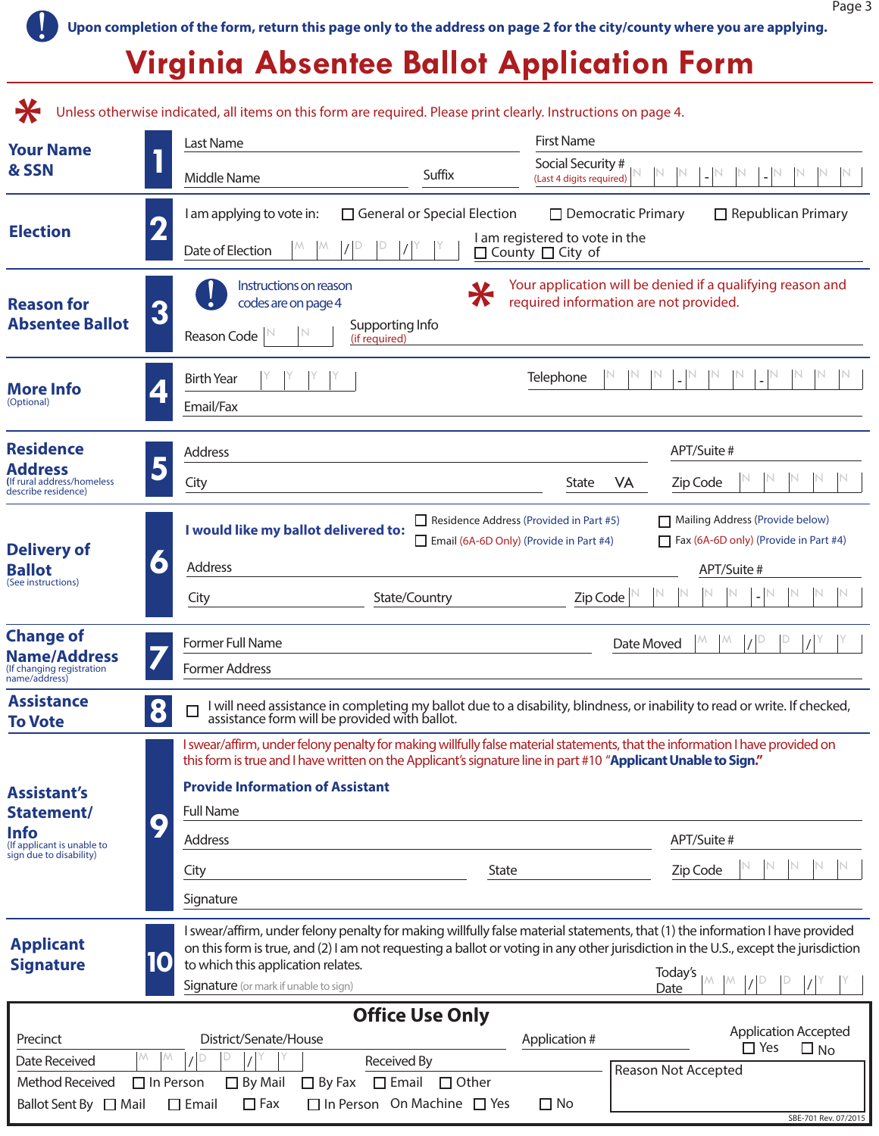! **Upon completion of the form, return this page only to the address on page 2 for the city/county where you are applying.**

### **Virginia Absentee Ballot Application Form**

|                                                                      | Unless otherwise indicated, all items on this form are required. Please print clearly. Instructions on page 4. |                                                                                                                                                                            |                                                                                                                                                                                                                                                                                         |                                          |  |
|----------------------------------------------------------------------|----------------------------------------------------------------------------------------------------------------|----------------------------------------------------------------------------------------------------------------------------------------------------------------------------|-----------------------------------------------------------------------------------------------------------------------------------------------------------------------------------------------------------------------------------------------------------------------------------------|------------------------------------------|--|
| <b>Your Name</b><br>& SSN                                            | Last Name                                                                                                      |                                                                                                                                                                            | <b>First Name</b><br>Social Security #                                                                                                                                                                                                                                                  |                                          |  |
|                                                                      | Middle Name                                                                                                    | Suffix                                                                                                                                                                     | (Last 4 digits required)                                                                                                                                                                                                                                                                |                                          |  |
| <b>Election</b>                                                      | I am applying to vote in:                                                                                      | $\Box$ General or Special Election                                                                                                                                         | $\Box$ Democratic Primary                                                                                                                                                                                                                                                               | $\Box$ Republican Primary                |  |
|                                                                      | Date of Election                                                                                               | I am registered to vote in the<br>$\Box$ County $\Box$ City of                                                                                                             |                                                                                                                                                                                                                                                                                         |                                          |  |
| <b>Reason for</b>                                                    | Instructions on reason<br>codes are on page 4                                                                  | $\boldsymbol{\pi}$                                                                                                                                                         | Your application will be denied if a qualifying reason and<br>required information are not provided.                                                                                                                                                                                    |                                          |  |
| <b>Absentee Ballot</b>                                               | 3<br>Reason Code                                                                                               | Supporting Info<br>(if required)                                                                                                                                           |                                                                                                                                                                                                                                                                                         |                                          |  |
| <b>More Info</b><br>(Optional)                                       | <b>Birth Year</b><br>Email/Fax                                                                                 | Telephone                                                                                                                                                                  |                                                                                                                                                                                                                                                                                         |                                          |  |
| <b>Residence</b>                                                     | <b>Address</b>                                                                                                 |                                                                                                                                                                            | APT/Suite #                                                                                                                                                                                                                                                                             |                                          |  |
| <b>Address</b><br>(If rural address/homeless)<br>describe residence) | City                                                                                                           |                                                                                                                                                                            | Zip Code<br>State<br>VA                                                                                                                                                                                                                                                                 |                                          |  |
| <b>Delivery of</b>                                                   | I would like my ballot delivered to:                                                                           | Residence Address (Provided in Part #5)<br>$\Box$ Email (6A-6D Only) (Provide in Part #4)                                                                                  | Mailing Address (Provide below)<br>$\Box$ Fax (6A-6D only) (Provide in Part #4)                                                                                                                                                                                                         |                                          |  |
| <b>Ballot</b>                                                        | $\bullet$<br><b>Address</b>                                                                                    |                                                                                                                                                                            | APT/Suite #                                                                                                                                                                                                                                                                             |                                          |  |
| (See instructions)                                                   | City                                                                                                           | State/Country                                                                                                                                                              | Zip Code                                                                                                                                                                                                                                                                                |                                          |  |
| <b>Change of</b><br><b>Name/Address</b><br>(If changing registration | Former Full Name<br><b>Former Address</b>                                                                      | Date Moved                                                                                                                                                                 |                                                                                                                                                                                                                                                                                         |                                          |  |
| name/address)<br><b>Assistance</b><br><b>To Vote</b>                 | 8                                                                                                              | I will need assistance in completing my ballot due to a disability, blindness, or inability to read or write. If checked,<br>assistance form will be provided with ballot. |                                                                                                                                                                                                                                                                                         |                                          |  |
| <b>Assistant's</b>                                                   | <b>Provide Information of Assistant</b><br><b>Full Name</b>                                                    |                                                                                                                                                                            | I swear/affirm, under felony penalty for making willfully false material statements, that the information I have provided on<br>this form is true and I have written on the Applicant's signature line in part #10 "Applicant Unable to Sign."                                          |                                          |  |
| Statement/<br><b>Info</b>                                            | $\bullet$<br>Address                                                                                           |                                                                                                                                                                            | APT/Suite #                                                                                                                                                                                                                                                                             |                                          |  |
| (If applicant is unable to<br>sign due to disability)                | City                                                                                                           | <b>State</b>                                                                                                                                                               | Zip Code                                                                                                                                                                                                                                                                                |                                          |  |
|                                                                      | Signature                                                                                                      |                                                                                                                                                                            |                                                                                                                                                                                                                                                                                         |                                          |  |
| <b>Applicant</b><br><b>Signature</b>                                 | 10<br>to which this application relates.<br><b>Signature</b> (or mark if unable to sign)                       |                                                                                                                                                                            | I swear/affirm, under felony penalty for making willfully false material statements, that (1) the information I have provided<br>on this form is true, and (2) I am not requesting a ballot or voting in any other jurisdiction in the U.S., except the jurisdiction<br>Today's<br>Date |                                          |  |
|                                                                      |                                                                                                                | <b>Office Use Only</b>                                                                                                                                                     |                                                                                                                                                                                                                                                                                         |                                          |  |
| Precinct                                                             | District/Senate/House                                                                                          |                                                                                                                                                                            | Application #<br>$\Box$ Yes                                                                                                                                                                                                                                                             | <b>Application Accepted</b><br>$\Box$ No |  |
| Date Received<br>Method Received                                     | M                                                                                                              | Received By                                                                                                                                                                | <b>Reason Not Accepted</b>                                                                                                                                                                                                                                                              |                                          |  |
| Ballot Sent By □ Mail                                                | $\Box$ In Person<br>$\Box$ By Mail<br>$\Box$ By Fax<br>$\square$ Email<br>$\Box$ Fax                           | $\Box$ Email<br>$\Box$ Other<br>$\Box$ In Person On Machine $\Box$ Yes                                                                                                     | $\Box$ No                                                                                                                                                                                                                                                                               |                                          |  |